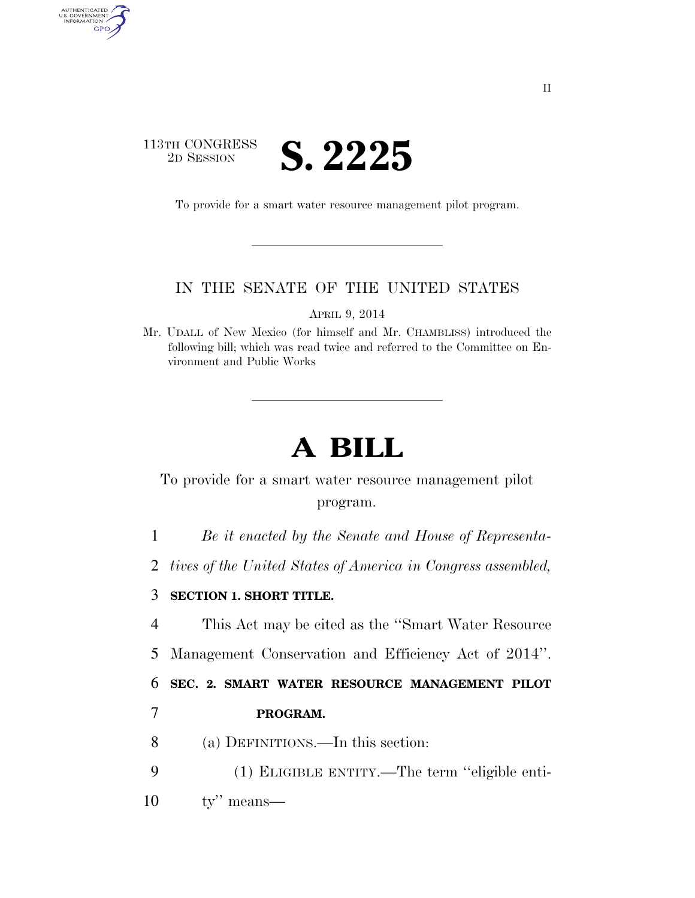

AUTHENTICATED<br>U.S. GOVERNMENT<br>INFORMATION

GPO

To provide for a smart water resource management pilot program.

## IN THE SENATE OF THE UNITED STATES

APRIL 9, 2014

Mr. UDALL of New Mexico (for himself and Mr. CHAMBLISS) introduced the following bill; which was read twice and referred to the Committee on Environment and Public Works

## **A BILL**

To provide for a smart water resource management pilot program.

1 *Be it enacted by the Senate and House of Representa-*

2 *tives of the United States of America in Congress assembled,* 

## 3 **SECTION 1. SHORT TITLE.**

4 This Act may be cited as the ''Smart Water Resource

5 Management Conservation and Efficiency Act of 2014''.

6 **SEC. 2. SMART WATER RESOURCE MANAGEMENT PILOT** 

## 7 **PROGRAM.**

- 8 (a) DEFINITIONS.—In this section:
- 9 (1) ELIGIBLE ENTITY.—The term ''eligible enti-
- 10 ty'' means—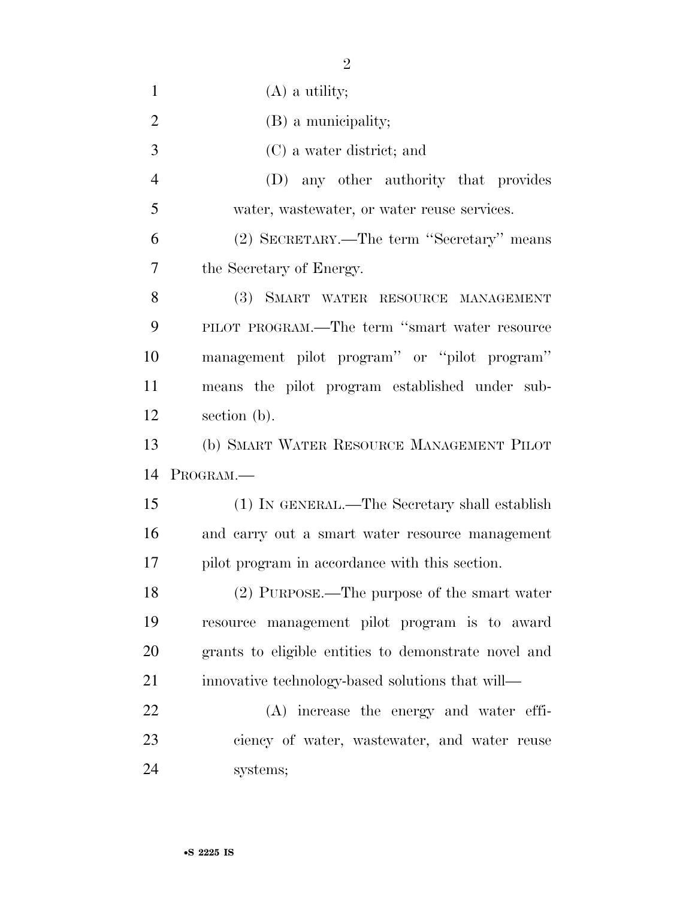| $\mathbf{1}$   | $(A)$ a utility;                                     |
|----------------|------------------------------------------------------|
| $\overline{2}$ | (B) a municipality;                                  |
| 3              | (C) a water district; and                            |
| $\overline{4}$ | (D) any other authority that provides                |
| 5              | water, wastewater, or water reuse services.          |
| 6              | (2) SECRETARY.—The term "Secretary" means            |
| 7              | the Secretary of Energy.                             |
| 8              | (3) SMART WATER RESOURCE MANAGEMENT                  |
| 9              | PILOT PROGRAM.—The term "smart water resource        |
| 10             | management pilot program" or "pilot program"         |
| 11             | means the pilot program established under sub-       |
| 12             | section (b).                                         |
|                |                                                      |
| 13             | (b) SMART WATER RESOURCE MANAGEMENT PILOT            |
| 14             | PROGRAM.                                             |
| 15             | (1) IN GENERAL.—The Secretary shall establish        |
| 16             | and carry out a smart water resource management      |
| 17             | pilot program in accordance with this section.       |
| 18             | $(2)$ PURPOSE.—The purpose of the smart water        |
| 19             | resource management pilot program is to award        |
| 20             | grants to eligible entities to demonstrate novel and |
| 21             | innovative technology-based solutions that will—     |
| 22             | (A) increase the energy and water effi-              |
| 23             | ciency of water, wastewater, and water reuse         |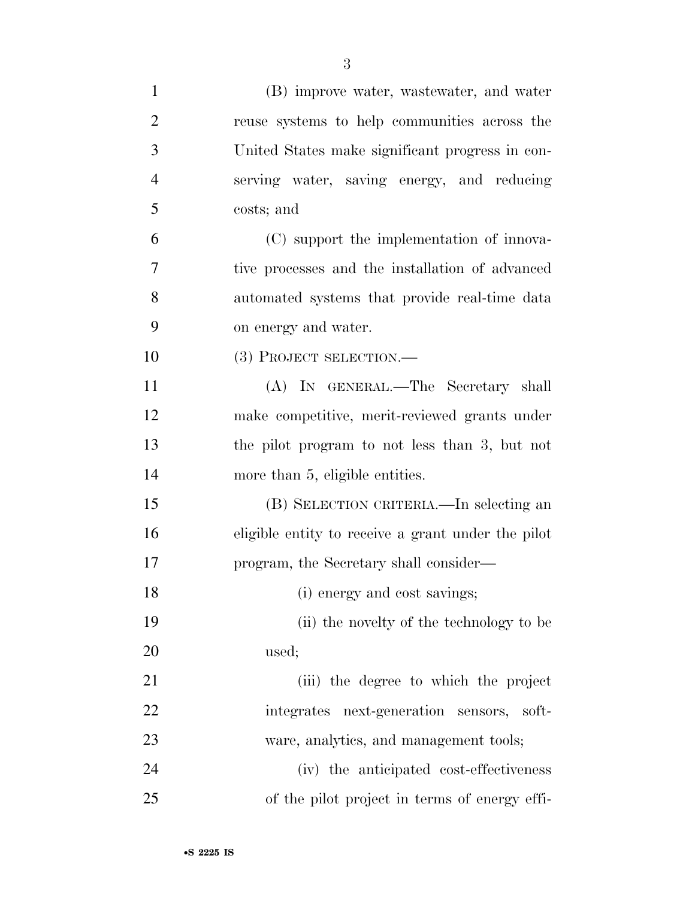| $\mathbf{1}$   | (B) improve water, wastewater, and water           |
|----------------|----------------------------------------------------|
| $\overline{2}$ | reuse systems to help communities across the       |
| 3              | United States make significant progress in con-    |
| $\overline{4}$ | serving water, saving energy, and reducing         |
| 5              | costs; and                                         |
| 6              | (C) support the implementation of innova-          |
| 7              | tive processes and the installation of advanced    |
| 8              | automated systems that provide real-time data      |
| 9              | on energy and water.                               |
| 10             | (3) PROJECT SELECTION.-                            |
| 11             | (A) IN GENERAL.—The Secretary shall                |
| 12             | make competitive, merit-reviewed grants under      |
| 13             | the pilot program to not less than 3, but not      |
| 14             | more than 5, eligible entities.                    |
| 15             | (B) SELECTION CRITERIA.—In selecting an            |
| 16             | eligible entity to receive a grant under the pilot |
| 17             | program, the Secretary shall consider—             |
| 18             | (i) energy and cost savings;                       |
| 19             | (ii) the novelty of the technology to be           |
| 20             | used;                                              |
| 21             | (iii) the degree to which the project              |
| 22             | integrates next-generation sensors, soft-          |
| 23             | ware, analytics, and management tools;             |
| 24             | (iv) the anticipated cost-effectiveness            |
| 25             | of the pilot project in terms of energy effi-      |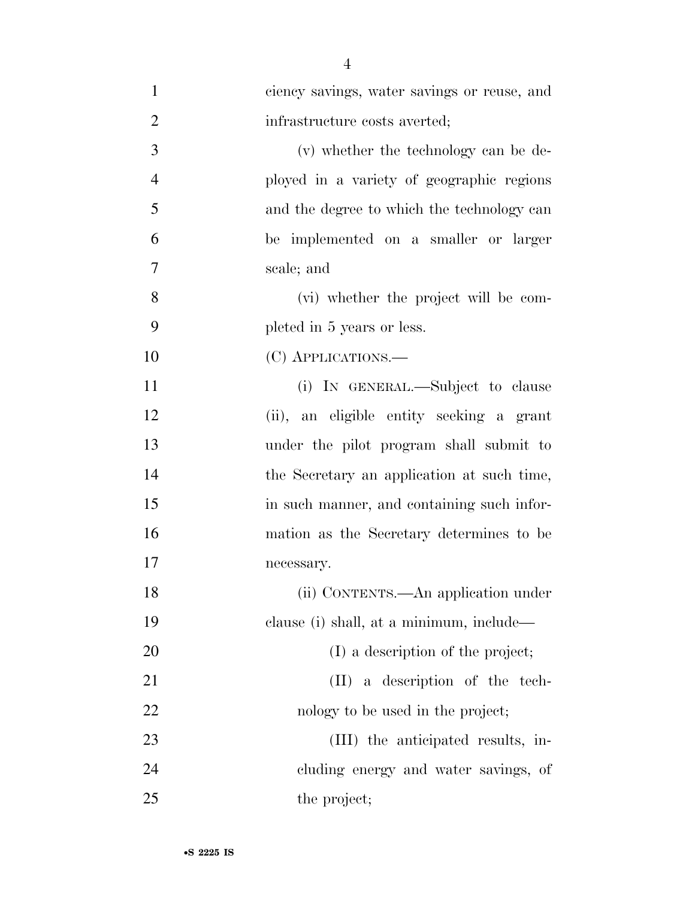| $\mathbf{1}$   | ciency savings, water savings or reuse, and |
|----------------|---------------------------------------------|
| $\overline{2}$ | infrastructure costs averted;               |
| 3              | (v) whether the technology can be de-       |
| $\overline{4}$ | ployed in a variety of geographic regions   |
| 5              | and the degree to which the technology can  |
| 6              | be implemented on a smaller or larger       |
| $\overline{7}$ | scale; and                                  |
| 8              | (vi) whether the project will be com-       |
| 9              | pleted in 5 years or less.                  |
| 10             | (C) APPLICATIONS.—                          |
| 11             | (i) IN GENERAL.—Subject to clause           |
| 12             | (ii), an eligible entity seeking a grant    |
| 13             | under the pilot program shall submit to     |
| 14             | the Secretary an application at such time,  |
| 15             | in such manner, and containing such infor-  |
| 16             | mation as the Secretary determines to be    |
| 17             | necessary.                                  |
| 18             | (ii) CONTENTS.—An application under         |
| 19             | clause (i) shall, at a minimum, include—    |
| 20             | (I) a description of the project;           |
| 21             | (II) a description of the tech-             |
| 22             | nology to be used in the project;           |
| 23             | (III) the anticipated results, in-          |
| 24             | cluding energy and water savings, of        |
| 25             | the project;                                |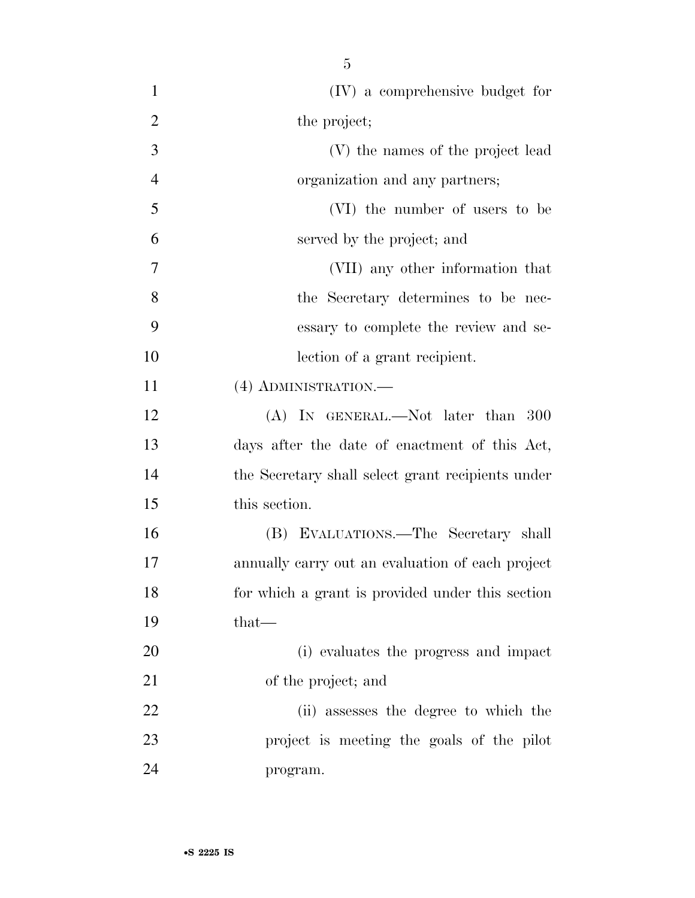| $\mathbf{1}$   | (IV) a comprehensive budget for                   |
|----------------|---------------------------------------------------|
| $\overline{2}$ | the project;                                      |
| 3              | (V) the names of the project lead                 |
| $\overline{4}$ | organization and any partners;                    |
| 5              | (VI) the number of users to be                    |
| 6              | served by the project; and                        |
| $\overline{7}$ | (VII) any other information that                  |
| 8              | the Secretary determines to be nec-               |
| 9              | essary to complete the review and se-             |
| 10             | lection of a grant recipient.                     |
| 11             | $(4)$ ADMINISTRATION.—                            |
| 12             | (A) IN GENERAL.—Not later than 300                |
| 13             | days after the date of enactment of this Act,     |
| 14             | the Secretary shall select grant recipients under |
| 15             | this section.                                     |
| 16             | (B) EVALUATIONS.—The Secretary shall              |
| 17             | annually carry out an evaluation of each project  |
| 18             | for which a grant is provided under this section  |
| 19             | $that-$                                           |
| 20             | (i) evaluates the progress and impact             |
| 21             | of the project; and                               |
| 22             | (ii) assesses the degree to which the             |
| 23             | project is meeting the goals of the pilot         |
| 24             | program.                                          |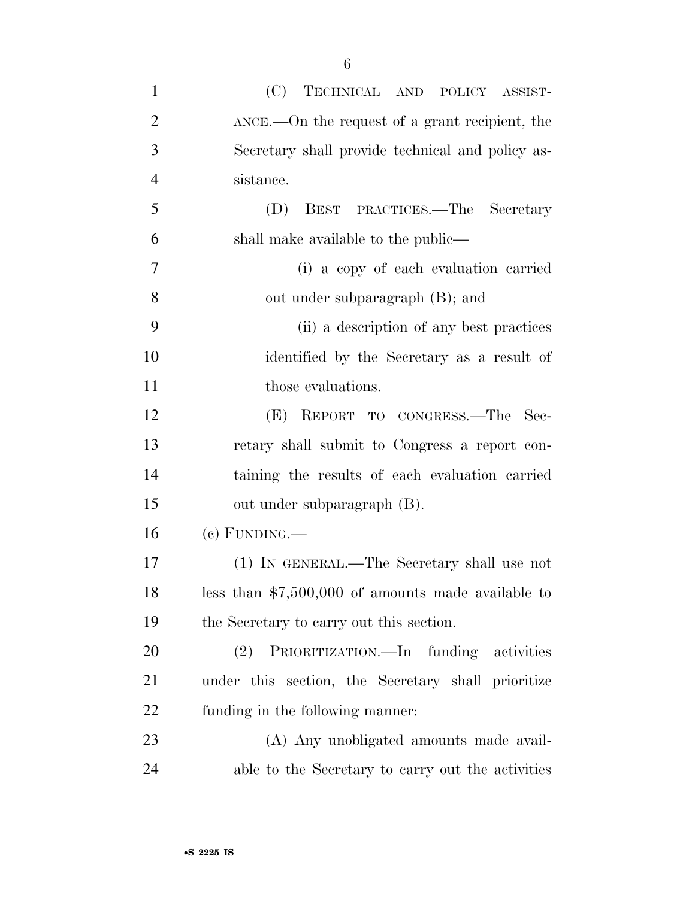| $\mathbf{1}$   | (C) TECHNICAL AND POLICY ASSIST-                        |
|----------------|---------------------------------------------------------|
| $\overline{2}$ | $\Delta NCE$ . On the request of a grant recipient, the |
| 3              | Secretary shall provide technical and policy as-        |
| $\overline{4}$ | sistance.                                               |
| 5              | BEST PRACTICES.—The Secretary<br>(D)                    |
| 6              | shall make available to the public—                     |
| 7              | (i) a copy of each evaluation carried                   |
| 8              | out under subparagraph (B); and                         |
| 9              | (ii) a description of any best practices                |
| 10             | identified by the Secretary as a result of              |
| 11             | those evaluations.                                      |
| 12             | (E) REPORT TO CONGRESS.—The Sec-                        |
| 13             | retary shall submit to Congress a report con-           |
| 14             | taining the results of each evaluation carried          |
| 15             | out under subparagraph (B).                             |
| 16             | $(e)$ FUNDING.—                                         |
| 17             | (1) IN GENERAL.—The Secretary shall use not             |
| 18             | less than $$7,500,000$ of amounts made available to     |
| 19             | the Secretary to carry out this section.                |
| 20             | PRIORITIZATION.—In funding activities<br>(2)            |
| 21             | under this section, the Secretary shall prioritize      |
| 22             | funding in the following manner:                        |
|                |                                                         |

 (A) Any unobligated amounts made avail-able to the Secretary to carry out the activities